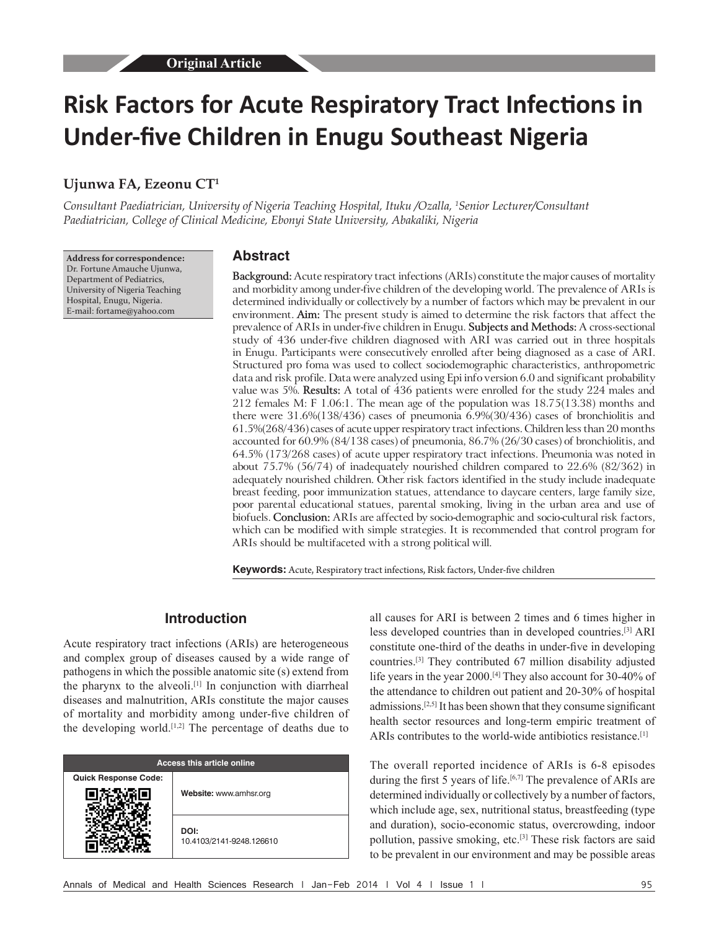# **Risk Factors for Acute Respiratory Tract Infections in Under‑five Children in Enugu Southeast Nigeria**

# **Ujunwa FA, Ezeonu CT1**

*Consultant Paediatrician, University of Nigeria Teaching Hospital, Ituku /Ozalla, 1 Senior Lecturer/Consultant Paediatrician, College of Clinical Medicine, Ebonyi State University, Abakaliki, Nigeria*

**Address for correspondence:** Dr. Fortune Amauche Ujunwa, Department of Pediatrics, University of Nigeria Teaching Hospital, Enugu, Nigeria. E‑mail: fortame@yahoo.com

#### **Abstract**

**Background:** Acute respiratory tract infections (ARIs) constitute the major causes of mortality and morbidity among under-five children of the developing world. The prevalence of ARIs is determined individually or collectively by a number of factors which may be prevalent in our environment. **Aim:** The present study is aimed to determine the risk factors that affect the prevalence of ARIs in under-five children in Enugu. **Subjects and Methods:** A cross-sectional study of 436 under-five children diagnosed with ARI was carried out in three hospitals in Enugu. Participants were consecutively enrolled after being diagnosed as a case of ARI. Structured pro foma was used to collect sociodemographic characteristics, anthropometric data and risk profile. Data were analyzed using Epi info version 6.0 and significant probability value was 5%. **Results:** A total of 436 patients were enrolled for the study 224 males and 212 females M: F 1.06:1. The mean age of the population was 18.75(13.38) months and there were  $31.6\%(138/436)$  cases of pneumonia  $6.9\%(30/436)$  cases of bronchiolitis and 61.5%(268/436) cases of acute upper respiratory tract infections. Children less than 20 months accounted for 60.9% (84/138 cases) of pneumonia, 86.7% (26/30 cases) of bronchiolitis, and 64.5% (173/268 cases) of acute upper respiratory tract infections. Pneumonia was noted in about 75.7% (56/74) of inadequately nourished children compared to 22.6% (82/362) in adequately nourished children. Other risk factors identified in the study include inadequate breast feeding, poor immunization statues, attendance to daycare centers, large family size, poor parental educational statues, parental smoking, living in the urban area and use of biofuels. **Conclusion:** ARIs are affected by socio‑demographic and socio‑cultural risk factors, which can be modified with simple strategies. It is recommended that control program for ARIs should be multifaceted with a strong political will.

**Keywords:** Acute, Respiratory tract infections, Risk factors, Under-five children

## **Introduction**

Acute respiratory tract infections (ARIs) are heterogeneous and complex group of diseases caused by a wide range of pathogens in which the possible anatomic site (s) extend from the pharynx to the alveoli.[1] In conjunction with diarrheal diseases and malnutrition, ARIs constitute the major causes of mortality and morbidity among under‑five children of the developing world.[1,2] The percentage of deaths due to

| Access this article online  |                                  |  |  |
|-----------------------------|----------------------------------|--|--|
| <b>Quick Response Code:</b> | Website: www.amhsr.org           |  |  |
|                             | DOI:<br>10.4103/2141-9248.126610 |  |  |

all causes for ARI is between 2 times and 6 times higher in less developed countries than in developed countries.[3] ARI constitute one‑third of the deaths in under‑five in developing countries.[3] They contributed 67 million disability adjusted life years in the year 2000.[4] They also account for 30-40% of the attendance to children out patient and 20-30% of hospital admissions.[2,5] It has been shown that they consume significant health sector resources and long-term empiric treatment of ARIs contributes to the world-wide antibiotics resistance.<sup>[1]</sup>

The overall reported incidence of ARIs is 6-8 episodes during the first 5 years of life.<sup>[6,7]</sup> The prevalence of ARIs are determined individually or collectively by a number of factors, which include age, sex, nutritional status, breastfeeding (type and duration), socio-economic status, overcrowding, indoor pollution, passive smoking, etc.[3] These risk factors are said to be prevalent in our environment and may be possible areas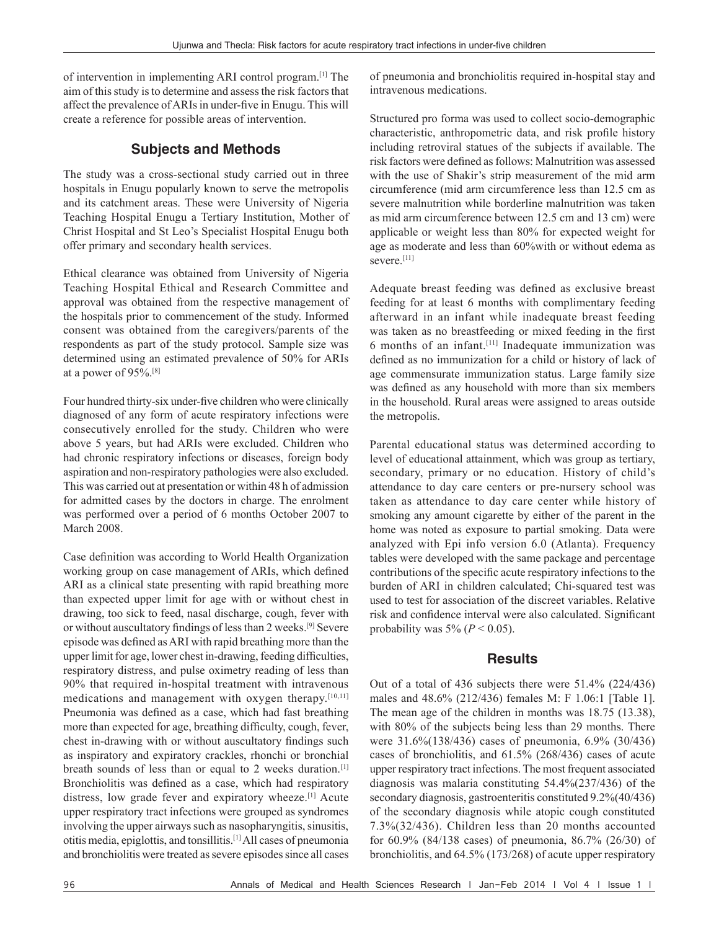of intervention in implementing ARI control program.[1] The aim of this study is to determine and assess the risk factors that affect the prevalence of ARIs in under-five in Enugu. This will create a reference for possible areas of intervention.

# **Subjects and Methods**

The study was a cross-sectional study carried out in three hospitals in Enugu popularly known to serve the metropolis and its catchment areas. These were University of Nigeria Teaching Hospital Enugu a Tertiary Institution, Mother of Christ Hospital and St Leo's Specialist Hospital Enugu both offer primary and secondary health services.

Ethical clearance was obtained from University of Nigeria Teaching Hospital Ethical and Research Committee and approval was obtained from the respective management of the hospitals prior to commencement of the study. Informed consent was obtained from the caregivers/parents of the respondents as part of the study protocol. Sample size was determined using an estimated prevalence of 50% for ARIs at a power of 95%.[8]

Four hundred thirty-six under-five children who were clinically diagnosed of any form of acute respiratory infections were consecutively enrolled for the study. Children who were above 5 years, but had ARIs were excluded. Children who had chronic respiratory infections or diseases, foreign body aspiration and non-respiratory pathologies were also excluded. This was carried out at presentation or within 48 h of admission for admitted cases by the doctors in charge. The enrolment was performed over a period of 6 months October 2007 to March 2008.

Case definition was according to World Health Organization working group on case management of ARIs, which defined ARI as a clinical state presenting with rapid breathing more than expected upper limit for age with or without chest in drawing, too sick to feed, nasal discharge, cough, fever with or without auscultatory findings of lessthan 2 weeks.[9] Severe episode was defined asARI with rapid breathing more than the upper limit for age, lower chest in-drawing, feeding difficulties, respiratory distress, and pulse oximetry reading of less than 90% that required in-hospital treatment with intravenous medications and management with oxygen therapy.<sup>[10,11]</sup> Pneumonia was defined as a case, which had fast breathing more than expected for age, breathing difficulty, cough, fever, chest in‑drawing with or without auscultatory findings such as inspiratory and expiratory crackles, rhonchi or bronchial breath sounds of less than or equal to 2 weeks duration.<sup>[1]</sup> Bronchiolitis was defined as a case, which had respiratory distress, low grade fever and expiratory wheeze.<sup>[1]</sup> Acute upper respiratory tract infections were grouped as syndromes involving the upper airways such as nasopharyngitis, sinusitis, otitis media, epiglottis, and tonsillitis.[1] All cases of pneumonia and bronchiolitis were treated as severe episodes since all cases

of pneumonia and bronchiolitis required in-hospital stay and intravenous medications.

Structured pro forma was used to collect socio-demographic characteristic, anthropometric data, and risk profile history including retroviral statues of the subjects if available. The risk factors were defined as follows: Malnutrition was assessed with the use of Shakir's strip measurement of the mid arm circumference (mid arm circumference less than 12.5 cm as severe malnutrition while borderline malnutrition was taken as mid arm circumference between 12.5 cm and 13 cm) were applicable or weight less than 80% for expected weight for age as moderate and less than 60%with or without edema as severe.<sup>[11]</sup>

Adequate breast feeding was defined as exclusive breast feeding for at least 6 months with complimentary feeding afterward in an infant while inadequate breast feeding was taken as no breastfeeding or mixed feeding in the first  $6$  months of an infant.<sup>[11]</sup> Inadequate immunization was defined as no immunization for a child or history of lack of age commensurate immunization status. Large family size was defined as any household with more than six members in the household. Rural areas were assigned to areas outside the metropolis.

Parental educational status was determined according to level of educational attainment, which was group as tertiary, secondary, primary or no education. History of child's attendance to day care centers or pre-nursery school was taken as attendance to day care center while history of smoking any amount cigarette by either of the parent in the home was noted as exposure to partial smoking. Data were analyzed with Epi info version 6.0 (Atlanta). Frequency tables were developed with the same package and percentage contributions of the specific acute respiratory infections to the burden of ARI in children calculated; Chi-squared test was used to test for association of the discreet variables. Relative risk and confidence interval were also calculated. Significant probability was  $5\%$  ( $P < 0.05$ ).

# **Results**

Out of a total of 436 subjects there were 51.4% (224/436) males and 48.6% (212/436) females M: F 1.06:1 [Table 1]. The mean age of the children in months was 18.75 (13.38), with 80% of the subjects being less than 29 months. There were 31.6%(138/436) cases of pneumonia, 6.9% (30/436) cases of bronchiolitis, and 61.5% (268/436) cases of acute upper respiratory tract infections. The most frequent associated diagnosis was malaria constituting 54.4%(237/436) of the secondary diagnosis, gastroenteritis constituted 9.2%(40/436) of the secondary diagnosis while atopic cough constituted 7.3%(32/436). Children less than 20 months accounted for 60.9% (84/138 cases) of pneumonia, 86.7% (26/30) of bronchiolitis, and 64.5% (173/268) of acute upper respiratory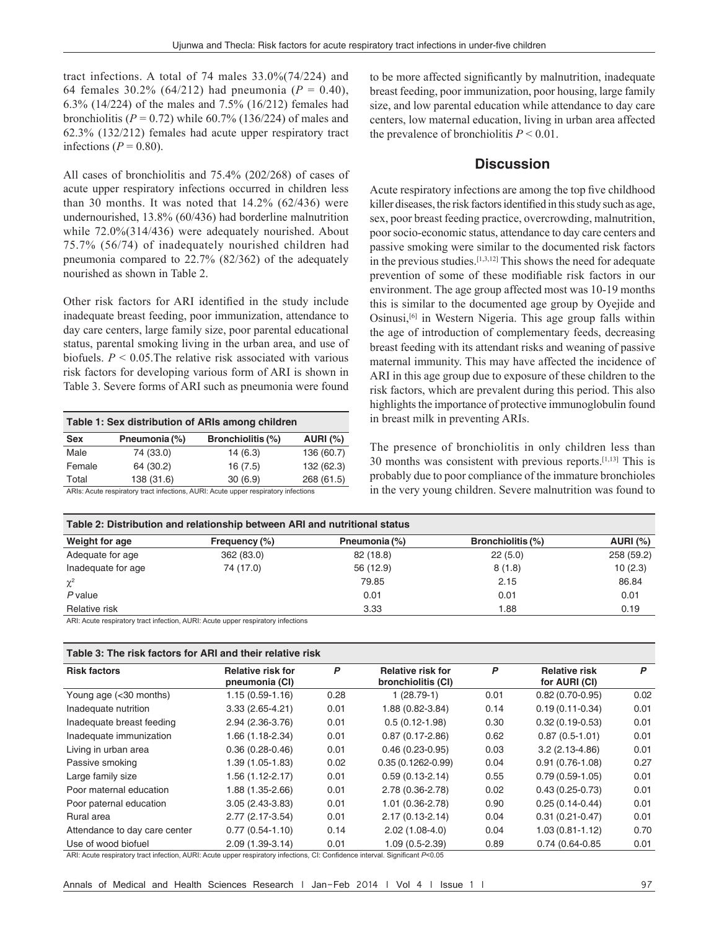tract infections. A total of 74 males 33.0%(74/224) and 64 females 30.2% (64/212) had pneumonia ( $P = 0.40$ ), 6.3% (14/224) of the males and 7.5% (16/212) females had bronchiolitis ( $P = 0.72$ ) while 60.7% (136/224) of males and 62.3% (132/212) females had acute upper respiratory tract infections ( $P = 0.80$ ).

All cases of bronchiolitis and 75.4% (202/268) of cases of acute upper respiratory infections occurred in children less than 30 months. It was noted that  $14.2\%$  (62/436) were undernourished, 13.8% (60/436) had borderline malnutrition while 72.0%(314/436) were adequately nourished. About 75.7% (56/74) of inadequately nourished children had pneumonia compared to 22.7% (82/362) of the adequately nourished as shown in Table 2.

Other risk factors for ARI identified in the study include inadequate breast feeding, poor immunization, attendance to day care centers, large family size, poor parental educational status, parental smoking living in the urban area, and use of biofuels. *P* < 0.05.The relative risk associated with various risk factors for developing various form of ARI is shown in Table 3. Severe forms of ARI such as pneumonia were found

| Table 1: Sex distribution of ARIs among children                                        |               |                          |                 |  |  |  |
|-----------------------------------------------------------------------------------------|---------------|--------------------------|-----------------|--|--|--|
| <b>Sex</b>                                                                              | Pneumonia (%) | <b>Bronchiolitis (%)</b> | <b>AURI (%)</b> |  |  |  |
| Male                                                                                    | 74 (33.0)     | 14(6.3)                  | 136 (60.7)      |  |  |  |
| Female                                                                                  | 64 (30.2)     | 16(7.5)                  | 132 (62.3)      |  |  |  |
| Total                                                                                   | 138 (31.6)    | 30(6.9)                  | 268 (61.5)      |  |  |  |
| A DISTA STAR SERVICE STATES (AND STARTS AT IDITA STARTS SERVICE STATES) (SERVICE STARTS |               |                          |                 |  |  |  |

RIs: Acute respiratory tract infections, AURI: Acute upper respiratory infections

to be more affected significantly by malnutrition, inadequate breast feeding, poor immunization, poor housing, large family size, and low parental education while attendance to day care centers, low maternal education, living in urban area affected the prevalence of bronchiolitis  $P < 0.01$ .

## **Discussion**

Acute respiratory infections are among the top five childhood killer diseases, the risk factors identified in this study such as age, sex, poor breast feeding practice, overcrowding, malnutrition, poor socio-economic status, attendance to day care centers and passive smoking were similar to the documented risk factors in the previous studies.[1,3,12] This shows the need for adequate prevention of some of these modifiable risk factors in our environment. The age group affected most was 10-19 months this is similar to the documented age group by Oyejide and Osinusi,[6] in Western Nigeria. This age group falls within the age of introduction of complementary feeds, decreasing breast feeding with its attendant risks and weaning of passive maternal immunity. This may have affected the incidence of ARI in this age group due to exposure of these children to the risk factors, which are prevalent during this period. This also highlights the importance of protective immunoglobulin found in breast milk in preventing ARIs.

The presence of bronchiolitis in only children less than 30 months was consistent with previous reports.[1,13] This is probably due to poor compliance of the immature bronchioles in the very young children. Severe malnutrition was found to

| Table 2: Distribution and relationship between ARI and nutritional status |               |               |                          |                 |  |  |  |  |
|---------------------------------------------------------------------------|---------------|---------------|--------------------------|-----------------|--|--|--|--|
| Weight for age                                                            | Frequency (%) | Pneumonia (%) | <b>Bronchiolitis (%)</b> | <b>AURI (%)</b> |  |  |  |  |
| Adequate for age                                                          | 362 (83.0)    | 82 (18.8)     | 22(5.0)                  | 258 (59.2)      |  |  |  |  |
| Inadequate for age                                                        | 74 (17.0)     | 56 (12.9)     | 8(1.8)                   | 10(2.3)         |  |  |  |  |
| $\chi^2$                                                                  |               | 79.85         | 2.15                     | 86.84           |  |  |  |  |
| $P$ value                                                                 |               | 0.01          | 0.01                     | 0.01            |  |  |  |  |
| Relative risk                                                             |               | 3.33          | 1.88                     | 0.19            |  |  |  |  |

ARI: Acute respiratory tract infection, AURI: Acute upper respiratory infections

| Table 3: The risk factors for ARI and their relative risk |                                            |      |                                                |      |                                       |      |  |  |  |
|-----------------------------------------------------------|--------------------------------------------|------|------------------------------------------------|------|---------------------------------------|------|--|--|--|
| <b>Risk factors</b>                                       | <b>Relative risk for</b><br>pneumonia (CI) | P    | <b>Relative risk for</b><br>bronchiolitis (CI) | P    | <b>Relative risk</b><br>for AURI (CI) | P    |  |  |  |
| Young age (<30 months)                                    | $1.15(0.59 - 1.16)$                        | 0.28 | $1(28.79-1)$                                   | 0.01 | $0.82(0.70-0.95)$                     | 0.02 |  |  |  |
| Inadequate nutrition                                      | $3.33(2.65 - 4.21)$                        | 0.01 | 1.88 (0.82-3.84)                               | 0.14 | $0.19(0.11 - 0.34)$                   | 0.01 |  |  |  |
| Inadequate breast feeding                                 | 2.94 (2.36-3.76)                           | 0.01 | $0.5(0.12 - 1.98)$                             | 0.30 | $0.32(0.19 - 0.53)$                   | 0.01 |  |  |  |
| Inadequate immunization                                   | $1.66(1.18-2.34)$                          | 0.01 | $0.87(0.17 - 2.86)$                            | 0.62 | $0.87(0.5-1.01)$                      | 0.01 |  |  |  |
| Living in urban area                                      | $0.36(0.28-0.46)$                          | 0.01 | $0.46(0.23-0.95)$                              | 0.03 | $3.2(2.13-4.86)$                      | 0.01 |  |  |  |
| Passive smoking                                           | $1.39(1.05-1.83)$                          | 0.02 | $0.35(0.1262 - 0.99)$                          | 0.04 | $0.91(0.76 - 1.08)$                   | 0.27 |  |  |  |
| Large family size                                         | $1.56(1.12-2.17)$                          | 0.01 | $0.59(0.13-2.14)$                              | 0.55 | $0.79(0.59 - 1.05)$                   | 0.01 |  |  |  |
| Poor maternal education                                   | 1.88 (1.35-2.66)                           | 0.01 | 2.78 (0.36-2.78)                               | 0.02 | $0.43(0.25 - 0.73)$                   | 0.01 |  |  |  |
| Poor paternal education                                   | $3.05(2.43-3.83)$                          | 0.01 | 1.01 (0.36-2.78)                               | 0.90 | $0.25(0.14-0.44)$                     | 0.01 |  |  |  |
| Rural area                                                | 2.77 (2.17-3.54)                           | 0.01 | $2.17(0.13 - 2.14)$                            | 0.04 | $0.31(0.21-0.47)$                     | 0.01 |  |  |  |
| Attendance to day care center                             | $0.77(0.54 - 1.10)$                        | 0.14 | $2.02(1.08-4.0)$                               | 0.04 | $1.03(0.81 - 1.12)$                   | 0.70 |  |  |  |
| Use of wood biofuel                                       | 2.09 (1.39-3.14)                           | 0.01 | $1.09(0.5-2.39)$                               | 0.89 | 0.74 (0.64-0.85)                      | 0.01 |  |  |  |

ARI: Acute respiratory tract infection, AURI: Acute upper respiratory infections, CI: Confidence interval. Significant *P*<0.05

Annals of Medical and Health Sciences Research | Jan-Feb 2014 | Vol 4 | Issue 1 | 97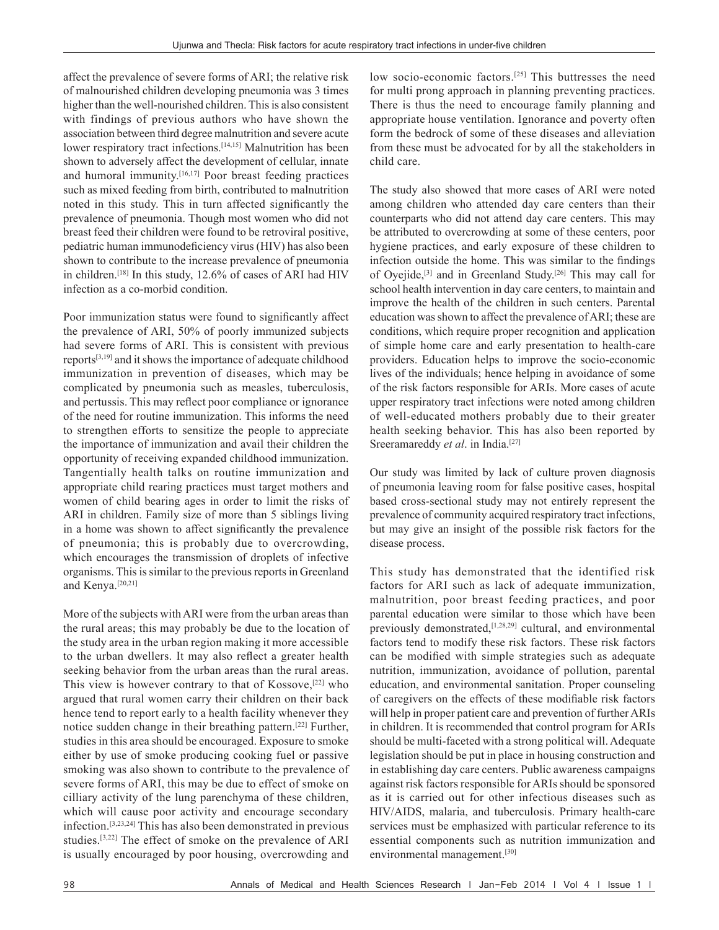affect the prevalence of severe forms of ARI; the relative risk of malnourished children developing pneumonia was 3 times higher than the well-nourished children. This is also consistent with findings of previous authors who have shown the association between third degree malnutrition and severe acute lower respiratory tract infections.<sup>[14,15]</sup> Malnutrition has been shown to adversely affect the development of cellular, innate and humoral immunity.[16,17] Poor breast feeding practices such as mixed feeding from birth, contributed to malnutrition noted in this study. This in turn affected significantly the prevalence of pneumonia. Though most women who did not breast feed their children were found to be retroviral positive, pediatric human immunodeficiency virus (HIV) has also been shown to contribute to the increase prevalence of pneumonia in children.[18] In this study, 12.6% of cases of ARI had HIV infection as a co-morbid condition.

Poor immunization status were found to significantly affect the prevalence of ARI, 50% of poorly immunized subjects had severe forms of ARI. This is consistent with previous reports[3,19] and it shows the importance of adequate childhood immunization in prevention of diseases, which may be complicated by pneumonia such as measles, tuberculosis, and pertussis. This may reflect poor compliance or ignorance of the need for routine immunization. This informs the need to strengthen efforts to sensitize the people to appreciate the importance of immunization and avail their children the opportunity of receiving expanded childhood immunization. Tangentially health talks on routine immunization and appropriate child rearing practices must target mothers and women of child bearing ages in order to limit the risks of ARI in children. Family size of more than 5 siblings living in a home was shown to affect significantly the prevalence of pneumonia; this is probably due to overcrowding, which encourages the transmission of droplets of infective organisms. This is similar to the previous reports in Greenland and Kenya.[20,21]

More of the subjects with ARI were from the urban areas than the rural areas; this may probably be due to the location of the study area in the urban region making it more accessible to the urban dwellers. It may also reflect a greater health seeking behavior from the urban areas than the rural areas. This view is however contrary to that of Kossove,<sup>[22]</sup> who argued that rural women carry their children on their back hence tend to report early to a health facility whenever they notice sudden change in their breathing pattern.[22] Further, studies in this area should be encouraged. Exposure to smoke either by use of smoke producing cooking fuel or passive smoking was also shown to contribute to the prevalence of severe forms of ARI, this may be due to effect of smoke on cilliary activity of the lung parenchyma of these children, which will cause poor activity and encourage secondary infection.[3,23,24] This has also been demonstrated in previous studies.[3,22] The effect of smoke on the prevalence of ARI is usually encouraged by poor housing, overcrowding and

low socio-economic factors.<sup>[25]</sup> This buttresses the need for multi prong approach in planning preventing practices. There is thus the need to encourage family planning and appropriate house ventilation. Ignorance and poverty often form the bedrock of some of these diseases and alleviation from these must be advocated for by all the stakeholders in child care.

The study also showed that more cases of ARI were noted among children who attended day care centers than their counterparts who did not attend day care centers. This may be attributed to overcrowding at some of these centers, poor hygiene practices, and early exposure of these children to infection outside the home. This was similar to the findings of Oyejide,[3] and in Greenland Study.[26] This may call for school health intervention in day care centers, to maintain and improve the health of the children in such centers. Parental education was shown to affect the prevalence of ARI; these are conditions, which require proper recognition and application of simple home care and early presentation to health-care providers. Education helps to improve the socio-economic lives of the individuals; hence helping in avoidance of some of the risk factors responsible for ARIs. More cases of acute upper respiratory tract infections were noted among children of well-educated mothers probably due to their greater health seeking behavior. This has also been reported by Sreeramareddy *et al*. in India.[27]

Our study was limited by lack of culture proven diagnosis of pneumonia leaving room for false positive cases, hospital based cross-sectional study may not entirely represent the prevalence of community acquired respiratory tract infections, but may give an insight of the possible risk factors for the disease process.

This study has demonstrated that the identified risk factors for ARI such as lack of adequate immunization, malnutrition, poor breast feeding practices, and poor parental education were similar to those which have been previously demonstrated,[1,28,29] cultural, and environmental factors tend to modify these risk factors. These risk factors can be modified with simple strategies such as adequate nutrition, immunization, avoidance of pollution, parental education, and environmental sanitation. Proper counseling of caregivers on the effects of these modifiable risk factors will help in proper patient care and prevention of further ARIs in children. It is recommended that control program for ARIs should be multi-faceted with a strong political will. Adequate legislation should be put in place in housing construction and in establishing day care centers. Public awareness campaigns against risk factors responsible for ARIs should be sponsored as it is carried out for other infectious diseases such as HIV/AIDS, malaria, and tuberculosis. Primary health-care services must be emphasized with particular reference to its essential components such as nutrition immunization and environmental management.[30]